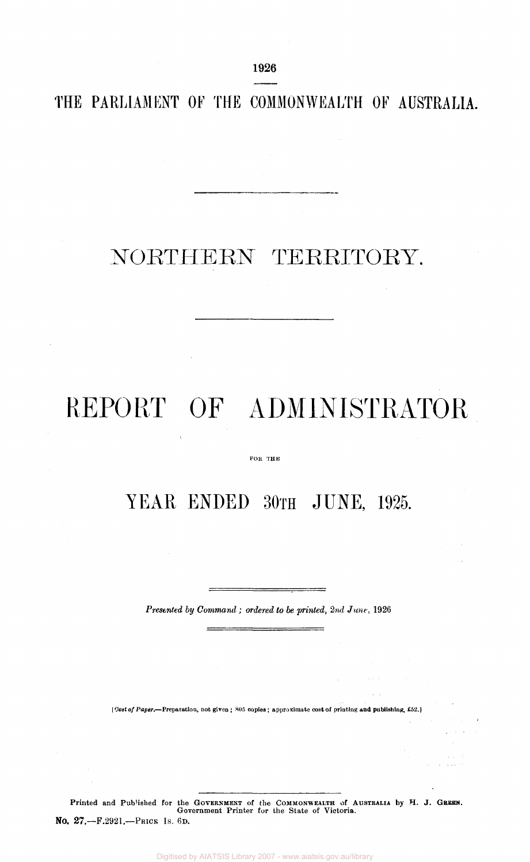1926

**THE PARLIAMENT OF THE COMMONWEALTH OF AUSTRALIA.** 

# NORTHERN TERRITORY.

# REPORT OF ADMINISTRATOR

### FOR THE

# YEAR ENDED 30TH JUNE, 1925.

*Presented by Command ; ordered to be printed, 2nd June,* 1926

[Cost of Paper.—Preparation, not given ; 805 copies; approximate cost of printing and publishing, £52.]

Printed and Published for the GOVERNMENT of the COMMONWEALTH of AUSTRALIA by H. J. GREEN.<br>Government Printer for the State of Victoria. No. 27.—F.2921.—PRICE 1S. 6D.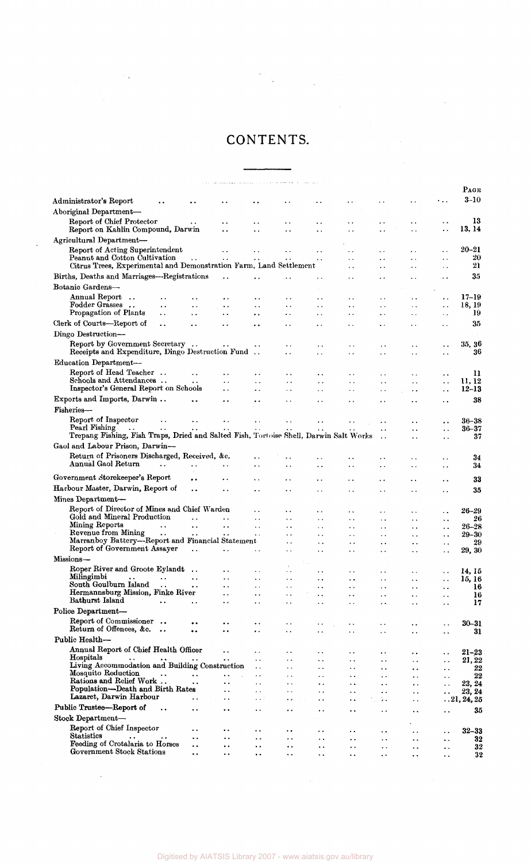### CONTENTS.

 $\label{eq:2.1} \begin{split} \mathcal{L}_{\text{max}} &= \frac{1}{2} \sum_{i=1}^{N} \frac{1}{2} \sum_{i=1}^{N} \frac{1}{2} \left( \frac{1}{2} \sum_{i=1}^{N} \frac{1}{2} \right) \left( \frac{1}{2} \sum_{i=1}^{N} \frac{1}{2} \right) \left( \frac{1}{2} \sum_{i=1}^{N} \frac{1}{2} \right) \left( \frac{1}{2} \sum_{i=1}^{N} \frac{1}{2} \right) \left( \frac{1}{2} \sum_{i=1}^{N} \frac{1}{2} \right) \left($ 

 $\label{eq:2.1} \frac{1}{\sqrt{2\pi}}\int_{0}^{\pi} \frac{1}{\sqrt{2\pi}}\left(\frac{1}{\sqrt{2\pi}}\right)^{2\pi} \frac{1}{\sqrt{2\pi}}\int_{0}^{\pi} \frac{1}{\sqrt{2\pi}}\left(\frac{1}{\sqrt{2\pi}}\right)^{2\pi} \frac{1}{\sqrt{2\pi}}\frac{1}{\sqrt{2\pi}}\int_{0}^{\pi} \frac{1}{\sqrt{2\pi}}\frac{1}{\sqrt{2\pi}}\frac{1}{\sqrt{2\pi}}\frac{1}{\sqrt{2\pi}}\frac{1}{\sqrt{2\pi}}\frac{1}{\sqrt{$ 

 $\label{eq:2.1} \frac{1}{\sqrt{2}}\int_{\mathbb{R}^3}\frac{1}{\sqrt{2}}\left(\frac{1}{\sqrt{2}}\right)^2\frac{1}{\sqrt{2}}\left(\frac{1}{\sqrt{2}}\right)^2\frac{1}{\sqrt{2}}\left(\frac{1}{\sqrt{2}}\right)^2.$ 

 $\sim 10^6$ 

|                                                                                                     |                             |                      |                             |                                              |                                   |                                              |                                                |                                              |                             |                                              | Раск                   |
|-----------------------------------------------------------------------------------------------------|-----------------------------|----------------------|-----------------------------|----------------------------------------------|-----------------------------------|----------------------------------------------|------------------------------------------------|----------------------------------------------|-----------------------------|----------------------------------------------|------------------------|
| Administrator's Report                                                                              |                             |                      |                             |                                              |                                   |                                              |                                                | $\ddot{\phantom{1}}$                         |                             |                                              | $3-10$                 |
| Aboriginal Department-                                                                              |                             |                      |                             |                                              |                                   |                                              |                                                |                                              |                             |                                              |                        |
| Report of Chief Protector                                                                           |                             |                      | $\ddot{\phantom{0}}$        | . .                                          | . .                               | . .                                          | . .                                            | . .                                          | . .                         | . .                                          | 13                     |
| Report on Kahlin Compound, Darwin                                                                   |                             |                      | ٠.                          | . .                                          | . .                               | μ.                                           |                                                | $\ddot{\phantom{0}}$                         |                             | $\ddot{\phantom{1}}$                         | 13, 14                 |
| Agricultural Department-                                                                            |                             |                      |                             |                                              |                                   |                                              |                                                |                                              |                             |                                              |                        |
| Report of Acting Superintendent                                                                     |                             |                      |                             | . .                                          | . .                               | . .                                          |                                                |                                              |                             | $\ddot{\phantom{0}}$                         | $20 - 21$              |
| Peanut and Cotton Cultivation<br>Citrus Trees, Experimental and Demonstration Farm, Land Settlement |                             | $\ddot{\phantom{0}}$ | $\ddot{\phantom{0}}$        | $\ddot{\phantom{a}}$                         | . .                               |                                              | $\ddot{\phantom{1}}$<br>$\ddot{\phantom{0}}$   | . .<br>$\ddot{\phantom{1}}$                  | . .<br>. .                  | $\ddotsc$                                    | 20<br>21               |
| Births, Deaths and Marriages—Registrations                                                          |                             |                      |                             |                                              |                                   |                                              |                                                |                                              |                             | $\ddot{\phantom{0}}$ .                       | 35                     |
|                                                                                                     |                             |                      | . .                         | $\ddot{\phantom{0}}$                         |                                   |                                              |                                                |                                              |                             | $\ddot{\phantom{1}}$                         |                        |
| Botanic Gardens-<br>Annual Report                                                                   |                             |                      |                             |                                              |                                   |                                              |                                                |                                              |                             |                                              | $17 - 19$              |
| $\ddot{\phantom{a}}$<br>Fodder Grasses                                                              | . .<br>$\ddot{\phantom{0}}$ | $\ddot{\phantom{0}}$ | . .<br>$\ddot{\phantom{0}}$ | $\ddot{\phantom{0}}$<br>$\ddot{\phantom{0}}$ | . .<br>$\ddot{\phantom{1}}$       | . .<br>$\ddot{\phantom{1}}$                  | $\ddot{\phantom{0}}$<br>$\ddot{\phantom{a}}$   | $\ddot{\phantom{0}}$<br>$\ddot{\phantom{a}}$ | $\ddot{\phantom{1}}$        | . .<br>$\ddot{\phantom{0}}$                  | 18, 19                 |
| Propagation of Plants                                                                               | ٠.                          | . .                  | $\ddot{\phantom{0}}$        | $\ddot{\phantom{1}}$                         | . .                               | . .                                          | $\ddot{\phantom{0}}$                           | $\ddot{\phantom{1}}$                         | ٠.                          | $\sim$                                       | 19                     |
| Clerk of Courts—Report of                                                                           | $\ddot{\phantom{a}}$        | $\ddot{\phantom{0}}$ | $\ddot{\phantom{0}}$        | . .                                          | . .                               | . .                                          | . .                                            | $\ddot{\phantom{a}}$                         |                             | $\ddot{\phantom{0}}$                         | 35                     |
| Dingo Destruction-                                                                                  |                             |                      |                             |                                              |                                   |                                              |                                                |                                              |                             |                                              |                        |
| Report by Government Secretary                                                                      |                             |                      |                             |                                              | $\ddot{\phantom{0}}$              | $\ddot{\phantom{0}}$                         | $\ddot{\phantom{0}}$                           | $\ddot{\phantom{0}}$                         | $\ddot{\phantom{a}}$        | . .                                          | 35, 36                 |
| Receipts and Expenditure, Dingo Destruction Fund                                                    |                             |                      |                             |                                              | $\ddot{\phantom{0}}$              | $\ddot{\phantom{0}}$                         | $\ddot{\phantom{1}}$                           | $\ddot{\phantom{0}}$                         |                             | $\ddot{\phantom{1}}$                         | 36                     |
| Education Department-                                                                               |                             |                      |                             |                                              |                                   |                                              |                                                |                                              |                             |                                              |                        |
| Report of Head Teacher                                                                              |                             | $\ddot{\phantom{a}}$ | . .                         | . .                                          | . .                               | $\ddot{\phantom{1}}$                         |                                                | . .                                          |                             |                                              | 11                     |
| Schools and Attendances                                                                             |                             | $\ddot{\phantom{1}}$ | . .                         | $\ddotsc$                                    | $\ddot{\phantom{0}}$              | $\ddotsc$                                    | $\ddot{\phantom{0}}$                           | $\ddotsc$                                    | $\ddot{\phantom{0}}$        | $\ddot{\phantom{0}}$                         | 11, 12                 |
| Inspector's General Report on Schools                                                               |                             |                      | . .                         | $\ddot{\phantom{a}}$                         | $\ddot{\phantom{1}}$              | $\ddot{\phantom{0}}$                         | $\ddot{\phantom{1}}$                           | $\ddot{\phantom{0}}$                         | $\ddot{\phantom{0}}$        | $\ddotsc$                                    | $12 - 13$              |
| Exports and Imports, Darwin                                                                         |                             |                      | . .                         |                                              | . .                               | $\ddot{\phantom{0}}$                         |                                                | $\ddot{\phantom{0}}$                         |                             | . .                                          | 38                     |
| Fisheries—                                                                                          |                             |                      |                             |                                              |                                   |                                              |                                                |                                              |                             |                                              |                        |
| Report of Inspector<br>Pearl Fishing                                                                |                             |                      |                             |                                              |                                   |                                              |                                                | Ω.                                           |                             | . .                                          | $36 - 38$<br>$36 - 37$ |
| Trepang Fishing, Fish Traps, Dried and Salted Fish, Tortoise Shell, Darwin Salt Works               |                             |                      |                             |                                              |                                   |                                              |                                                | $\ddot{\phantom{0}}$<br>$\ddot{\phantom{0}}$ | $\ddot{\phantom{a}}$        | $\ddot{\phantom{a}}$<br>$\ddot{\phantom{0}}$ | 37                     |
| Gaol and Labour Prison, Darwin—                                                                     |                             |                      |                             |                                              |                                   |                                              |                                                |                                              |                             |                                              |                        |
| Return of Prisoners Discharged, Received, &c.                                                       |                             |                      |                             | . .                                          | . .                               | . .                                          |                                                |                                              |                             | . .                                          | 34                     |
| Annual Gaol Return                                                                                  | $\sim$ $\sim$               | . .                  | . .                         | $\ddotsc$                                    |                                   | $\ddot{\phantom{1}}$                         | $\ddot{\phantom{a}}$                           |                                              | . .                         | $\ddot{\phantom{0}}$                         | 34                     |
| Government Storekeeper's Report                                                                     |                             |                      | . .                         | $\ddot{\phantom{0}}$                         | $\cdot$ .                         | . .                                          | $\ddot{\phantom{1}}$                           |                                              |                             |                                              | 33                     |
| Harbour Master, Darwin, Report of                                                                   |                             | . .                  | . .                         | $\ddot{\phantom{0}}$                         | . .                               |                                              |                                                | . .                                          | $\ddot{\phantom{1}}$        | $\ddot{\phantom{0}}$                         | 35                     |
| Mines Department-                                                                                   |                             |                      |                             |                                              |                                   | Ϋ,                                           | . .                                            |                                              | . .                         | $\ddotsc$                                    |                        |
| Report of Director of Mines and Chief Warden                                                        |                             |                      |                             |                                              |                                   |                                              |                                                |                                              |                             |                                              |                        |
| Gold and Mineral Production                                                                         |                             |                      | . .                         | . .<br>$\ddot{\phantom{0}}$                  | $\ddot{\phantom{0}}$              | ٠.<br>$\ddot{\phantom{0}}$                   | $\ddot{\phantom{1}}$<br>$\ddot{\phantom{1}}$   | $\ddot{\phantom{1}}$                         | . .<br>$\ddot{\phantom{0}}$ | $\ddot{\phantom{0}}$<br>$\ddot{\phantom{0}}$ | 26–29<br>26            |
| Mining Reports                                                                                      | $\ddot{\phantom{a}}$        | $\ddot{\phantom{a}}$ | $\ddot{\phantom{a}}$        | $\ddot{\phantom{0}}$                         | . .                               | . .                                          | . .                                            | . .                                          | . .                         | $\ddot{\phantom{0}}$                         | $26 - 28$              |
| Revenue from Mining<br>Marranboy Battery-Report and Financial Statement                             | $\ddotsc$                   |                      | . .                         | ٠.                                           | . .                               | $\ddot{\phantom{1}}$ .                       | $\ddot{\phantom{0}}$                           | $\ddot{\phantom{0}}$                         | $\ddot{\phantom{0}}$        | $\ddotsc$                                    | $29 - 30$              |
| Report of Government Assayer                                                                        |                             | $\ddot{\phantom{a}}$ | $\ddot{\phantom{a}}$        | . .                                          | . .<br>$\ddot{\phantom{0}}$       | $\ddot{\phantom{0}}$<br>$\ddot{\phantom{0}}$ | $\ddot{\phantom{0}}$<br>$\ddot{\phantom{1}}$   | $\ddot{\phantom{0}}$<br>$\ddot{\phantom{0}}$ | . .                         | . .                                          | 29<br>29, 30           |
| Missions-                                                                                           |                             |                      |                             |                                              |                                   |                                              |                                                |                                              | . .                         | . .                                          |                        |
| Roper River and Groote Eylandt                                                                      |                             | $\ddot{\phantom{a}}$ | . .                         | . .                                          | . .                               | $\ddot{\phantom{1}}$                         | $\ddot{\phantom{a}}$                           | $\ddotsc$                                    | $\ddot{\phantom{a}}$        |                                              | 14, 15                 |
| Milingimbi<br>$\ddot{\phantom{a}}$                                                                  |                             |                      |                             | . .                                          | $\ddot{\phantom{0}}$              | $\sim$ $\sim$                                | $\ddot{\phantom{a}}$                           | $\ddot{\phantom{1}}$                         | . .                         | $\ddotsc$<br>٠.                              | 15, 16                 |
| South Goulburn Island                                                                               |                             | . .                  | $\ddot{\phantom{0}}$        | $\ddot{\phantom{a}}$                         | $\ddot{\phantom{0}}$              | $\ddot{\phantom{0}}$                         | $\bullet$ .                                    | $\ddot{\phantom{0}}$                         | $\ddot{\phantom{1}}$        | $\ddot{\phantom{0}}$                         | 16                     |
| Hermannsburg Mission, Finke River<br>Bathurst Island                                                | $\ddot{\phantom{a}}$ .      | . .                  | $\ddotsc$<br>. .            | $\ddot{\phantom{0}}$                         | $\ddot{\phantom{0}}$              | $\ddot{\phantom{0}}$                         | . .                                            | $\ddot{\phantom{0}}$                         | . .                         | . .                                          | 16                     |
| Police Department-                                                                                  |                             |                      |                             | $\ddot{\phantom{0}}$                         | . .                               | $\ddot{\phantom{1}}$                         | . .                                            | . .                                          |                             | . .                                          | 17                     |
| Report of Commissioner                                                                              | $\rightarrow$               |                      |                             |                                              |                                   |                                              |                                                |                                              |                             |                                              |                        |
| Return of Offences, &c.                                                                             | $\rightarrow$ $\rightarrow$ | <br>٠.               |                             | . .<br>$\ddot{\phantom{a}}$                  | $\ddot{\phantom{a}}$<br>$\ddotsc$ | $\bullet$ . $\bullet$                        | $\ddot{\phantom{1}}$<br>$\ddotsc$              | $\ddot{\phantom{0}}$<br>$\ddot{\phantom{1}}$ | $\ddot{\phantom{1}}$        | . .                                          | $30 - 31$<br>31        |
| Public Health-                                                                                      |                             |                      |                             |                                              |                                   |                                              |                                                |                                              |                             |                                              |                        |
| Annual Report of Chief Health Officer                                                               |                             |                      | . .                         | . .                                          | ٠.                                | ٠.                                           | $\ddot{\phantom{1}}$                           | $\ddot{\phantom{0}}$                         | . .                         |                                              | $21 - 23$              |
| Hospitals<br>$\ddot{\phantom{0}}$                                                                   |                             |                      |                             | . .                                          | . .                               | $\ddot{\phantom{a}}$                         | $\ddot{\phantom{1}}$ .                         | $\ddot{\phantom{1}}$                         | . .                         | $\ddot{\phantom{0}}$<br>$\ddot{\phantom{0}}$ | 21, 22                 |
| Living Accommodation and Building Construction<br>Mosquito Reduction                                |                             |                      |                             | $\ddot{\phantom{0}}$                         | ٠.                                | . .                                          | $\ddot{\phantom{1}}$                           | . .                                          | . .                         | $\cdot$ .                                    | 22                     |
| Rations and Relief Work                                                                             |                             | $\ddot{\phantom{1}}$ | $\ddot{\phantom{1}}$<br>. . | $\ddot{\phantom{0}}$<br>$\ddot{\phantom{1}}$ | . .<br>$\ddot{\phantom{0}}$       | . .<br>. .                                   | $\ddot{\phantom{0}}$ .<br>$\ddot{\phantom{0}}$ | $\ddot{\phantom{0}}$<br>$\ddot{\phantom{0}}$ | . .<br>. .                  | $\ddot{\phantom{1}}$<br>$\ddot{\phantom{0}}$ | 22<br>23, 24           |
| Population—Death and Birth Rates                                                                    |                             |                      | . .                         | $\ddotsc$                                    | ٠.                                | ٠.                                           | . .                                            | $\ddot{\phantom{0}}$                         | . .                         | . .                                          | 23, 24                 |
| Lazaret, Darwin Harbour                                                                             |                             | ٠.                   | ٠.                          | $\cdot$ $\cdot$                              | ٠.                                | $\ddot{\phantom{1}}$                         | $\ddot{\phantom{0}}$                           | $\epsilon$ .                                 | . .                         |                                              | $\dots 21, 24, 25$     |
| Public Trustee-Report of                                                                            | $\ddot{\phantom{a}}$        | ٠.                   | ٠.                          | $\ddot{\phantom{0}}$                         | . .                               | . .                                          | . .                                            | $\ddot{\phantom{0}}$                         | . .                         | $\ddot{\phantom{0}}$                         | 35                     |
| Stock Department-                                                                                   |                             |                      |                             |                                              |                                   |                                              |                                                |                                              |                             |                                              |                        |
| Report of Chief Inspector                                                                           |                             | . .                  | . .                         | . .                                          | . .                               | . .                                          | . .                                            | $\ddot{\phantom{0}}$                         | . .                         | $\ddotsc$                                    | $32 - 33$              |
| Statistics<br>$\ddot{\phantom{1}}$ .<br>Feeding of Crotalaria to Horses                             |                             | . .                  | . .                         | $\ddot{\phantom{0}}$                         | ٠.                                | . .                                          | . .                                            | $\ddot{\phantom{0}}$                         | ٠.                          | $\ddot{\phantom{0}}$                         | 32                     |
| Government Stock Stations                                                                           |                             | ٠.<br>. .            | . .<br>$\ddot{\phantom{0}}$ | $\ddot{\phantom{0}}$<br>. .                  | . .<br>. .                        | . .<br>٠.                                    | . .<br>٠.                                      | . .<br>$\ddot{\phantom{1}}$                  | . .                         | . .<br>. .                                   | 32<br>32               |
|                                                                                                     |                             |                      |                             |                                              |                                   |                                              |                                                |                                              |                             |                                              |                        |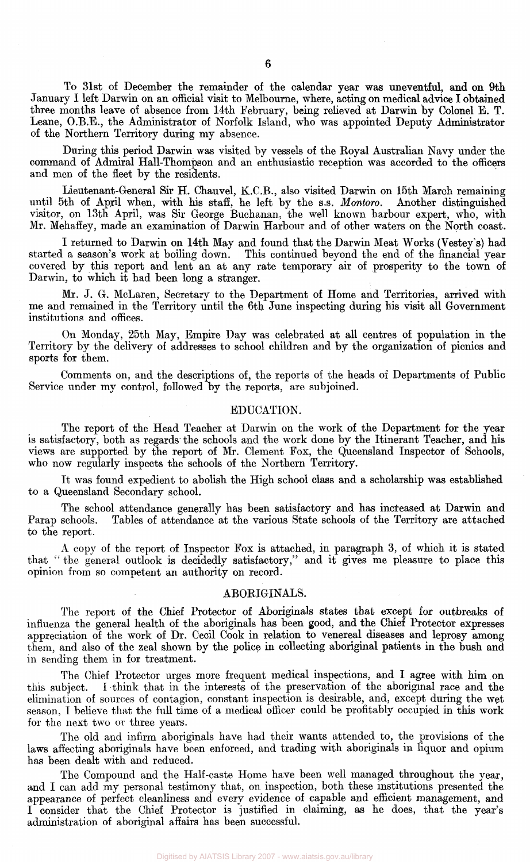To 31st of December the remainder of the calendar year was **uneventful, and on 9th**  January I left Darwin on an official visit to Melbourne, where, acting on medical advice I obtained three months leave of absence from 14th February, being relieved at Darwin by Colonel E. T. Leane, O.B.E., the Administrator of Norfolk Island, who was appointed Deputy Administrator of the Northern Territory during my absence.

During this period Darwin was visited by vessels of the Royal Australian Navy under the command of Admiral Hall-Thompson and an enthusiastic reception was accorded to the officers and men of the fleet by the residents.

Lieutenant-General Sir H. Chauvel, K.C.B., also visited Darwin on 15th March remaining until 5th of April when, with his staff, he left by the s.s. *Montoro.* Another distinguished visitor, on 13th April, was Sir George Buchanan, the well known harbour expert, who, with Mr. Mehaffey, made an examination of Darwin Harbour and of other waters on the North coast.

I returned to Darwin on 14th May and found that the Darwin Meat Works (Vestey's) had started a season's work at boiling down. This continued beyond the end of the financial year This continued beyond the end of the financial year covered by this report and lent an at any rate temporary air of prosperity to the town of Darwin, to which it had been long a stranger.

Mr. J. G. McLaren, Secretary to the Department of Home and Territories, arrived with me and remained in the Territory until the 6th June inspecting during his visit all Government institutions and offices.

On Monday, 25th May, Empire Day was celebrated at all centres of population in the Territory by the delivery of addresses to school children and by the organization of picnics and sports for them.

Comments on, and the descriptions of, the reports of the heads of Departments of Public Service under my control, followed by the reports, are subjoined.

### EDUCATION.

The report of the Head Teacher at Darwin on the work of the Department for the year is satisfactory, both as regards' the schools and the work done by the Itinerant Teacher, and his views are supported by the report of Mr. Clement Fox, the Queensland Inspector of Schools, who now regularly inspects the schools of the Northern Territory.

It was found expedient to abolish the High school class and a scholarship was established to a Queensland Secondary school.

The school attendance generally has been satisfactory and has increased at Darwin and Parap schools. Tables of attendance at the various State schools of the Territory are attached Tables of attendance at the various State schools of the Territory are attached to the report.

A copy of the report of Inspector Fox is attached, in paragraph 3, of which it is stated that " the general outlook is decidedly satisfactory," and it gives me pleasure to place this opinion from so competent an authority on record.

### ABORIGINALS.

The report of the Chief Protector of Aboriginals states that except for outbreaks of influenza the general health of the aboriginals has been good, and the Chief Protector expresses appreciation of the work of Dr. Cecil Cook in relation to venereal diseases and leprosy among them, and also of the zeal shown by the police in collecting aboriginal patients in the bush and in sending them in for treatment.

The Chief Protector urges more frequent medical inspections, and I agree with him on this subject. I think that in the interests of the preservation of the aboriginal race and the elimination of sources of contagion, constant inspection is desirable, and, except during the wet season, I believe that the full time of a medical officer could be profitably occupied in this work for the next two or three years.

The old and infirm aboriginals have had their wants attended to, the provisions of the laws affecting aboriginals have been enforced, and trading with aboriginals in liquor and opium has been dealt with and reduced.

The Compound and the Half-caste Home have been well managed throughout the year, and I can add my personal testimony that, on inspection, both these institutions presented the appearance of perfect cleanliness and every evidence of capable and efficient management, and I consider that the Chief Protector is justified in claiming, as he does, that the year's administration of aboriginal affairs has been successful.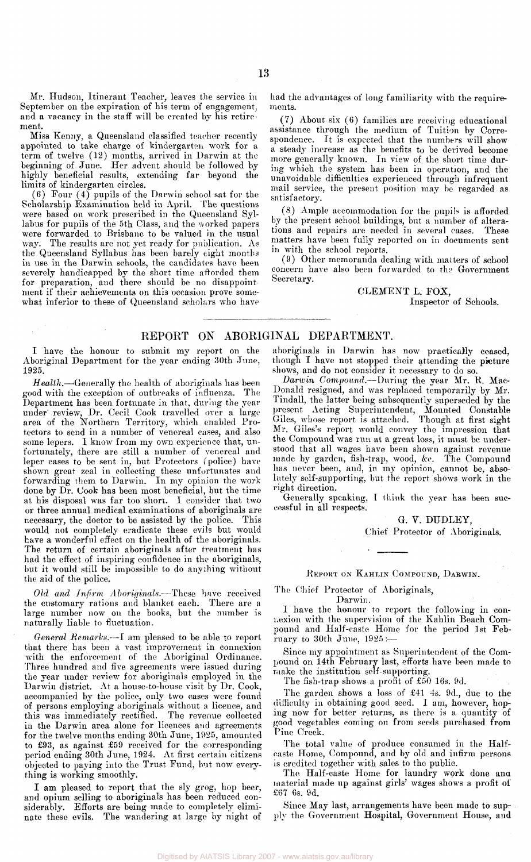Mr. Hudson, Itinerant Teacher, leaves the service in September on the expiration of his term of engagement, and a vacancy in the staff will be created by his retirement.

Miss Kenny, a Queensland classified teacher recently appointed to take charge of kindergarten work for a term of twelve (12) months, arrived in Darwin at the beginning of June. Her advent should be followed by highly beneficial results, extending far beyond the limits of kindergarten circles.

(6) Four (4) pupils of the Darwin school sat for the Scholarship Examination held in April. The questions were based on work prescribed in the Queensland Syllabus for pupils of the 5th Class, and the worked papers were forwarded to Brisbane to be valued in the usual way. The results are not yet ready for publication. As the Queensland Syllabus has been barely eight months in use in the Darwin schools, the candidates have been severely handicapped by the short time afforded them for preparation, and there should be no disappoint ment if their achievements on this occasion prove somewhat inferior to these of Queensland scholars who have

had the advantages of long familiarity with the requirements.

(7) About six (6) families are receiving educational assistance through the medium of Tuition by Correspondence. It is expected that the numbers will show a steady increase as the benefits to be derived become more generally known. In view of the short time during which the system has been in operation, and the unavoidable difficulties experienced through infrequent mail service, the present position may be regarded as satisfactory.

(8) Ample accommodation for the pupils is afforded by the present school buildings, but a number of alterations and repairs are needed in several cases. These matters have been fully reported on in documents sent in with the school reports.

(9) Other memoranda dealing with matters of school concern have also been forwarded to the Government Secretary.

### CLEMENT L. FOX, Inspector of Schools.

### REPORT ON ABORIGINAL DEPARTMENT.

I have the honour to submit my report on the Aboriginal Department for the year ending 30th June, 1925.

*Health.*—Generally the health of aboriginals has been good with the exception of outbreaks of influenza. The Department has been fortunate in that, during the year under' review, Dr. Cecil Cook travelled over a large area of the Northern Territory, which enabled Protectors to send in a number of venereal cases, and also some lepers. I know from my own experience that, unfortunately, there are still a number of venereal and leper cases to be sent in, but Protectors *(*police) have shown great zeal in collecting these unfortunates and forwarding them to Darwin. In my opinion the work done by Dr. Cook has been most beneficial, but the time at his disposal was far too short. I consider that two or three annual medical examinations of aboriginals are necessary, the doctor to be assisted by the police. This would not completely eradicate these evils but would have a wonderful effect on the health of the aboriginals. The return of certain aboriginals after treatment has had the effect of inspiring confidence in the aboriginals, but it would still be impossible to do anything without the aid of the police.

*Old and Infirm .Aboriginals.*—These have received the customary rations and blanket each. There are a large number now on the books, but the number is naturally liable to fluctuation.

*General Remarks.*—I am pleased to be able to report that there has been a vast improvement in connexion with the enforcement of the Aboriginal Ordinance. Three hundred and five agreements were issued during the year under review for aboriginals employed in the Darwin district. At a house-to-house visit by Dr. Cook, accompanied by the police, only two cases were found of persons employing aboriginals without a licence, and this was immediately rectified. The revenue collected in the Darwin area alone for licences and agreements for the twelve months ending 30th June, 1925, amounted to £93, as against £59 received for the corresponding period ending 30th June, 1924. At first certain citizens objected to paying into the Trust Fund, but now everything is working smoothly.

I am pleased to report that the sly grog, hop beer, and opium selling to aboriginals has been reduced considerably. Efforts are being made to completely eliminate these evils. The wandering at large by night of

aboriginals in Darwin has now practically ceased, though I have not stopped their attending the picture shows, and do not consider it necessary to do so.

*Darwin Compound.*—During the year Mr. R. Mac-Donald resigned, and was replaced temporarily by Mr. Tindall, the latter being subsequently superseded by the present Acting Superintendent, Mounted Constable Giles, whose report is attached. Though at first sight Mr. Giles's report would convey the impression that the Compound was run at a great loss, it must be understood that all wages have been shown against revenue made by garden, fish-trap, wood, &c. The Compound has never been, and, in my opinion, cannot be, absolutely self-supporting, but the report shows work in the right direction.

Generally speaking, I think the year has been successful in all respects.

> G. V. DUDLEY, Chief Protector of Aboriginals.

REPORT ON KAHLIN COMPOUND, DARWIN.

### The Chief Protector of Aboriginals, Darwin.

I have the honour to report the following in connexion with the supervision of the Kahlin Beach Compound and Half-caste Home for the period 1st February to 30th June, 1925:—

Since my appointment as Superintendent of the Compound on 14th February last, efforts have been made to make the institution self-supporting.

The fish-trap shows a profit of £50 16s. 9d.

The garden shows a loss of £41 4s. 9d., due to the difficulty in obtaining good seed. I am, however, hoping now for better returns, as there is a quantity of good vegetables coming on from seeds purchased from Pine Creek.

The total value of produce consumed in the Halfcaste Home, Compound, and by old and infirm persons is credited together with sales to the public.

The Half-caste Home for laundry work done ana material made up against girls' wages shows a profit of £67 6s. 9d.

Since May last, arrangements have been made to supply the Government Hospital, Government House, and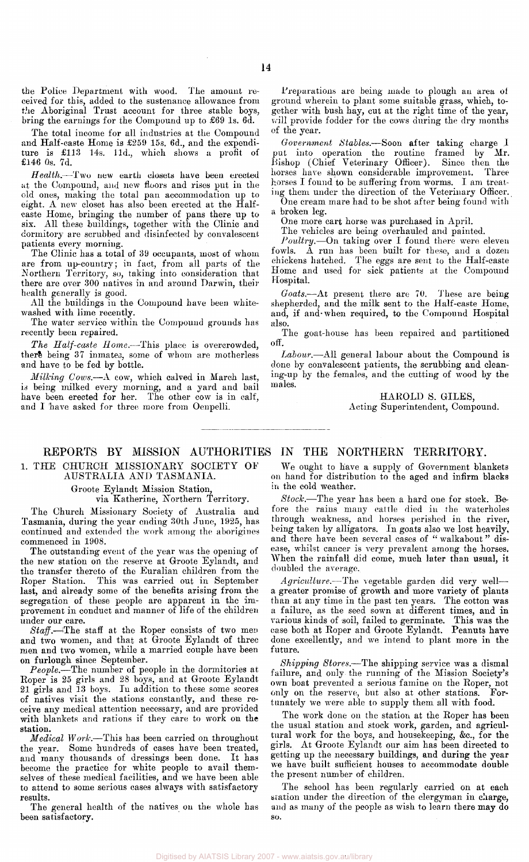the Police Department with wood. The amount received for this, added to the sustenance allowance from the Aboriginal Trust account for three stable boys, bring the earnings for the Compound up to £69 1s. 6d.

The total income for all industries at the Compound and Half-caste Home is £259 15s. 6d., and the expenditure is £113 14s. 11d., which shows a profit of £146 0s. 7d.

*Health.*—Two new earth closets have been erected at the Compound, and new floors and rises put in the old ones, making the total pan accommodation up to eight. A new closet has also been erected at the Halfcaste Home, bringing the number of pans there up to six. All these buildings, together with the Clinic and dormitory are scrubbed and disinfected by convalescent patients every morning.

The Clinic has a total of 39 occupants, most of whom are from up-country; in fact, from all parts of the Northern Territory, so, taking into consideration that there are over 300 natives in and around Darwin, their health generally is good.

All the buildings in the Compound have been whitewashed with lime recently.

The water service within the Compound grounds has recently been repaired.

*The Half-caste Home.*—This place is overcrowded, there being 37 inmates, some of whom are motherless and have to be fed by bottle.

*Milking Cows.*—A cow, which calved in March last, is being milked every morning, and a yard and bail have been erected for her. The other cow is in calf, and I have asked for three more from Oenpelli.

Preparations are being made to plough an area of ground wherein to plant some suitable grass, which, together with bush hay, cut at the right time of the year, will provide fodder for the cows during the dry months of the year.

*Government Stables.—*Soon after taking charge I put into operation the routine framed by Mr. Bishop (Chief Veterinary Officer). Since then the horses have shown considerable improvement. Three horses I found to be suffering from worms. I am treating them under the direction of the Veterinary Officer.

One cream mare had to be shot after being found with a broken leg.

One more cart horse was purchased in April.

The vehicles are being overhauled and painted.

*Poultry.*—On taking over I found there were eleven fowls. A run has been built for these, and a dozen chickens hatched. The eggs are sent to the Half-caste Home and used for sick patients at the Compound Hospital.

*Goats.*—At present there are 70. These are being shepherded, and the milk sent to the Half-caste Home, and, if and-when required, to the Compound Hospital also.

The goat-house has been repaired and partitioned off.

*Labour.*—All general labour about the Compound is done by convalescent patients, the scrubbing and cleaning-up by the females, and the cutting of wood by the males.

> HAROLD S. GILES, Acting Superintendent, Compound.

### REPORTS BY MISSION AUTHORITIES IN THE NORTHERN TERRITORY.

1. THE CHURCH MISSIONARY SOCIETY OF

### AUSTRALIA AND TASMANIA.

Groote Eylandt Mission Station,

via Katherine, Northern Territory.

The Church Missionary Society of Australia and Tasmania, during the year ending 30th June, 1925, has continued and extended the work among the aborigines commenced in 1908.

The outstanding event of the year was the opening of the new station on the reserve at Groote Eylandt, and the transfer thereto of the Euralian children from the Roper Station. This was carried out in September last, and already some of the benefits arising from, the segregation of these people are apparent in the improvement in conduct and manner of life of the children under our care.

*Staff.*—The staff at the Roper consists of two men and two women, and that at Groote Eylandt of three men and two women, while a married couple have been on furlough since September.

*People.*—The number of people in the dormitories at Roper is 25 girls and 28 boys, and at Groote Eylandt 21 girls and 13 boys. In addition to these some scores of natives visit the stations constantly, and these receive any medical attention necessary, and are provided with blankets and rations if they care to work on the station.

*Medical Work.*—This has been carried on throughout the year. Some hundreds of cases have been treated, and many thousands of dressings been done. It has become the practice for white people to avail themselves of these medical facilities, and we have been able to attend to some serious cases always with satisfactory results.

The general health of the natives on the whole has been satisfactory.

We ought to have a supply of Government blankets on hand for distribution to the aged and infirm blacks in the cold weather.

*Stock.*—The year has been a hard one for stock. Before the rains many cattle died in the waterholes through weakness, and horses perished in the river, being taken by alligators. In goats also we lost heavily, and there have been several cases of " walkabout " disease, whilst cancer is very prevalent among the horses. When the rainfall did come, much later than usual, it doubled the average.

*Agriculture.*—The vegetable garden did very well a greater promise of growth and more variety of plants than at any time in the past ten years. The cotton was a failure, as the seed sown at different times, and in various kinds of soil, failed to germinate. This was the case both at Roper and Groote Eylandt. Peanuts have done excellently, and we intend to plant more in the future.

*Shipping Stores.*—The shipping service was a dismal failure, and only the running of the Mission Society's own boat prevented a serious famine on the Roper, not only on the reserve, but also at other stations. Fortunately we were able to supply them all with food.

The work done on the station at the Roper has been the usual station and stock work, garden, and agricultural work for the boys, and housekeeping, &c., for the girls. At Groote Eylandt our aim has been directed to getting up the necessary buildings, and during the year we have built sufficient houses to accommodate double the present number of children.

The school has been regularly carried on at each station under the direction of the clergyman in charge, and as many of the people as wish to learn there may do so.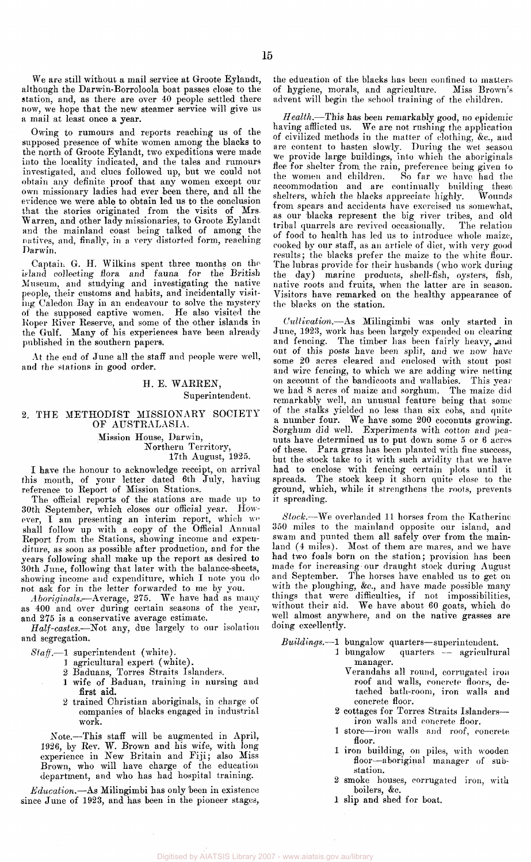We are still without a mail service at Groote Eylandt, although the Darwin-Borroloola boat passes close to the station, and, as there are over 40 people settled there now, we hope that the new steamer service will give us a mail at least once a year.

Owing to rumours and reports reaching us of the supposed presence of white women among the blacks to the north of Groote Eylandt, two expeditions were made into the locality indicated, and the tales and rumours investigated, and clues followed up, but we could not obtain any definite proof that any women except our own missionary ladies had ever been there, and all the evidence we were able to obtain led us to the conclusion that the stories originated from the visits of Mrs. Warren, and other lady missionaries, to Groote Eylandt and the mainland coast being talked of among the natives, and, finally, in a very distorted form, reaching Darwin.

Captain G. H. Wilkins spent three months on the island collecting flora and fauna for the British Museum, and studying and investigating the native people, their customs and habits, and incidentally visiting Caledon Bay in an endeavour to solve the mystery of the supposed captive women. He also visited the Roper River Reserve, and some of the other islands in the Gulf. Many of his experiences have been already published in the southern papers.

At the end of June all the staff and people were well, and the stations in good order.

> H. E. WARREN, Superintendent.

2. THE METHODIST MISSIONARY SOCIETY OF AUSTRALASIA.

> Mission House, Darwin, Northern Territory, 17th August, 1925.

I have the honour to acknowledge receipt, on arrival this month, of your letter dated 6th July, having reference to Report of Mission Stations.

The official reports of the stations are made up to 30th September, which closes our official year. However, I am presenting an interim report, which we shall follow up with a copy of the Official Annual Report from the Stations, showing income and expenditure, as soon as possible after production, and for the years following shall make up the report as desired to 30th June, following that later with the balance-sheets, showing income and expenditure, which I note you do not ask for in the letter forwarded to me by you.

*Aboriginals.*—Average, 275. We have had as many as 400 and over during certain seasons of the year, and 275 is a conservative average estimate.

*Half-castes.—*Not any, due largely to our isolation and segregation.

*Staff.*—1 superintendent (white).

- 1 agricultural expert (white).
	- 2 Baduans, Torres Straits Islanders.
	- 1 wife of Baduan, training in nursing and first **aid.**
	- 2 trained Christian aboriginals, in charge of companies of blacks engaged in industrial work.

Note.—This staff will be augmented in April, 1926, by Rev. W. Brown and his wife, with long experience in New Britain and Fiji; also Miss Brown, who will have charge of the education department, and who has had hospital training.

*Education.*—As Milingimbi has only been in existence since June of 1923, and has been in the pioneer stages, the education of the blacks has been confined to matters of hygiene, morals, and agriculture. Miss Brown's of hygiene, morals, and agriculture. advent will begin the school training of the children.

*Health.*—This has been remarkably good, no epidemic having afflicted us. We are not rushing the application of civilized methods in the matter of clothing, &c, and are content to hasten slowly. During the wet season we provide large buildings, into which the aboriginals flee for shelter from the rain, preference being given to the women and children. So far we have had the accommodation and are continually building these<br>shelters, which the blacks appreciate highly. Wounds shelters, which the blacks appreciate highly. from spears and accidents have exercised us somewhat, as our blacks represent the big river tribes, and old tribal quarrels are revived occasionally. The relation of food to health has led us to introduce whole maize, cooked by our staff, as an article of diet, with very good results; the blacks prefer the maize to the white flour. The lubras provide for their husbands (who work during the day) marine products, shell-fish, oysters, fish, native roots and fruits, when the latter are in season. Visitors have remarked on the healthy appearance of the blacks on the station.

*Cultivation.*—As Milingimbi was only started in June, 1923, work has been largely expended on clearing and fencing. The timber has been fairly heavy, and out of this posts have been split, and we now have some 20 acres cleared and enclosed with stout post and wire fencing, to which we are adding wire netting on account of the bandicoots and wallabies. This year we had 8 acres of maize and sorghum. The maize did remarkably well, an unusual feature being that some of the stalks yielded no less than six cobs, and quite a number four. We have some 200 coconuts growing. Sorghum did well. Experiments with cotton and peanuts have determined us to put down some 5 or 6 acres of these. Para grass has been planted with fine success, but the stock take to it with such avidity that we have had to enclose with fencing certain plots until it spreads. The stock keep it shorn quite close to the ground, which, while it strengthens the roots, prevents it spreading.

*Stock.*—We overlanded 11 horses from the Katherine 350 miles to the mainland opposite our island, and swam and punted them all safely over from the mainland (4 miles). Most of them are mares, and we have had two foals born on the station; provision has been made for increasing our draught stock during August and September. The horses have enabled us to get on with the ploughing, &c., and have made possible many things that were difficulties, if not impossibilities, without their aid. We have about 60 goats, which do well almost anywhere, and on the native grasses are doing excellently.

*Buildings.*—1 bungalow quarters—superintendent.

- quarters agricultural manager.
	- Verandahs all round, corrugated iron roof and walls, concrete floors, detached bath-room, iron walls and concrete floor.
- 2 cottages for Torres Straits Islanders iron walls and concrete floor.
- 1 store—iron walls and roof, concrete, floor.
- 1 iron building, on piles, with wooden floor—aboriginal manager of substation.
- 2 smoke houses, corrugated iron, with boilers, &c.
- 1 slip and shed for boat.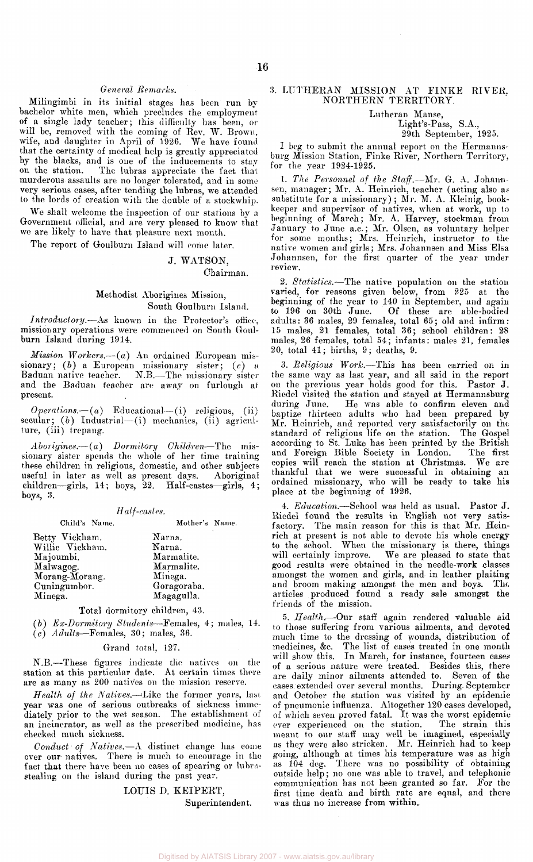### *General Remarks.*

Milingimbi in its initial stages has been run by bachelor white men, which precludes the employment of a single lady teacher; this difficulty has been, or will be, removed with the coming of Rev. W. Brown, wife, and daughter in April of 1926. We have found that the certainty of medical help is greatly appreciated by the blacks, and is one of the inducements to stay on the station. The lubras appreciate the fact that murderous assaults are no longer tolerated, and in some very serious eases, after tending the lubras, we attended to the lords of creation with the double of a stockwhip.

We shall welcome the inspection of our stations by a Government official, and are very pleased to know that we are likely to have that pleasure next month.

The report of Goulburn Island will come later.

### J. WATSON, Chairman.

### Methodist Aborigines Mission, South Goulburn Island.

*Introductory.*—As known in the Protector's office, missionary operations were commenced on South Goulburn Island during 1914.

*Mission Workers.*—(a) An ordained European missionary; *(b)* a European missionary sister; *(c)* a Baduan native teacher. N.B.—The missionary sister and the Baduan teacher are away on furlough at present.

 *Educational—(i) religious, (ii)* secular; (b) Industrial-(i) mechanics, (ii) agriculture, (iii) trepang.

*Aborigines.*— *(a) Dormitory Children*—The missionary sister spends the whole of her time training these children in religious, domestic, and other subjects useful in later as well as present days. Aboriginal children—girls, 14; boys, 22. Half-castes—girls, 4; boys, 3.

### *Half-castes.*

| Child's Name.   | Mother's Name. |
|-----------------|----------------|
| Betty Vickham.  | Narna.         |
| Willie Vickham. | Narna.         |
| Majoumbi.       | Marmalite.     |
| Malwagog.       | Marmalite.     |
| Morang-Morang.  | Minega.        |
| Cuningumbor.    | Goragoraba.    |
| Minega.         | Magagulla.     |

Total dormitory children, 43.

*(b) Ex-Dormitory Students*—Females, 4 ; males, 14. (c) *Adults*—Females, 30; males, 36.

### Grand total, 127.

N.B.—These figures indicate the natives on the station at this particular date. At certain times there are as many as 200 natives on the mission reserve.

*Health of the Natives.*—Like the former years, last year was one of serious outbreaks of sickness immediately prior to the wet season. The establishment of an incinerator, as well as the prescribed medicine, has checked much sickness.

*Conduct of Natives.*—A distinct change has come over our natives. There is much to encourage in the fact that there have been no cases of spearing or lubrastealing on the island during the past year.

> LOUIS D. KEIPERT, Superintendent.

### 3. LUTHERAN MISSION AT FINKE RIVER, NORTHERN TERRITORY.

Lutheran Manse,

Light's-Pass, S.A.,

29th September, 1925.

I beg to submit the annual report on the Hermannsburg Mission Station, Finke River, Northern Territory, for the year 1924-1925.

1. *The Personnel of the Staff.*—Mr. G. A. Johannsen, manager; Mr. A. Heinrich, teacher (acting also as substitute for a missionary) ; Mr. M. A. Kleinig, bookkeeper and supervisor of natives, when at work, up to beginning of March; Mr. A. Harvey, stockman from January to June a.c.; Mr. Olsen, as voluntary helper for some months; Mrs. Heinrich, instructor to the native women and girls; Mrs. Johannsen and Miss Elsa Johannsen, for the first quarter of the year under review.

2. *Statistics.*—The native population on the station varied, for reasons given below, from 225 at the beginning of the year to 140 in September, and again to 196 on 30th June . Of these are able-bodied adults: 36 males, 29 females, total 65; old and infirm: 15 males, 21 females, total 36 ; school children: 28 males, 26 females, total 54; infants: males 21, females 20, total 41 ; births, 9; deaths, 9.

3. *Religious Work.*—This has been carried on in the same way as last year, and all said in the report on the previous year holds good for this. Pastor J. Riedel visited the station and stayed at Hermannsburg during June. He was able to confirm eleven and baptize thirteen adults who had been prepared by Mr. Heinrich, and reported very satisfactorily on the standard of religious life on the station. The Gospelaccording to St. Luke has been printed by the British and Foreign Bible Society in London. The first copies will reach the station at Christmas. We are thankful that we were successful in obtaining an ordained missionary, who will be ready to take his place at the beginning of 1926.

4. *Education.*—School was held as usual. Pastor J. Riedel found the results in English not very satisfactory. The main reason for this is that Mr. Heinrich at present is not able to devote his whole energy to the school. When the missionary is there, things will certainly improve. We are pleased to state that good results were obtained in the needle-work classes amongst the women and girls, and in leather plaiting and broom making amongst the men and boys. The. articles produced found a ready sale amongst the friends of the mission.

5. *Health.*—Our staff again rendered valuable aid to those suffering from various ailments, and devoted much time to the dressing of wounds, distribution of medicines, &c. The list of cases treated in one month will show this. In March, for instance, fourteen cases of a serious nature were treated. Besides this, there are daily minor ailments attended to. Seven of the cases extended over several months. During. September and October the station was visited by an epidemic of pneumonic influenza. Altogether 120 cases developed, of which seven proved fatal. It was the worst epidemic ever experienced on the station. The strain this meant to our staff may well be imagined, especially as they were also stricken. Mr. Heinrich had to keep going, although at times his temperature was as high as 104 deg. There was no possibility of obtaining outside help; no one was able to travel, and telephonic communication has not been granted so far. For the first time death and birth rate are equal, and there was thus no increase from within.